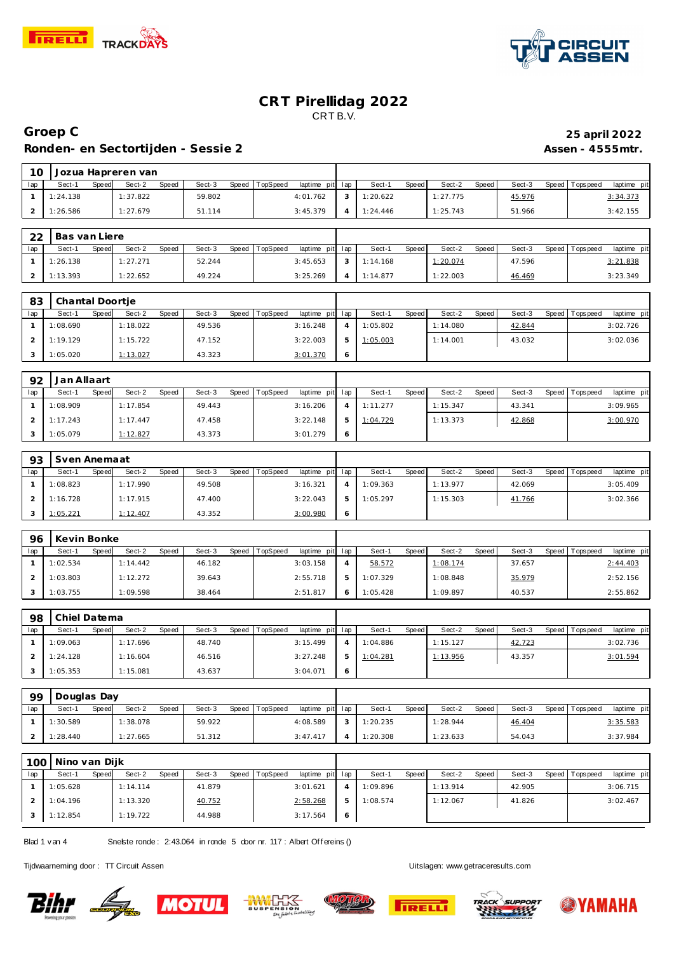



### **Groep C 25 april 2022** Ronden- en Sectortijden - Sessie 2 **Assen - 4555mtr.** Assen - 4555mtr.

| $10 \,$ |          |       | Jozua Hapreren van |       |        |                |                 |          |       |          |       |        |                |             |  |
|---------|----------|-------|--------------------|-------|--------|----------------|-----------------|----------|-------|----------|-------|--------|----------------|-------------|--|
| lap     | Sect-1   | Speed | Sect-2             | Speed | Sect-3 | Speed TopSpeed | laptime pit lap | Sect-1   | Speed | Sect-2   | Speed | Sect-3 | Speed Topspeed | laptime pit |  |
|         | 1:24.138 |       | 1:37.822           |       | 59.802 |                | 4:01.762        | 1:20.622 |       | 1:27.775 |       | 45.976 |                | 3:34.373    |  |
|         | 1:26.586 |       | 1:27.679           |       | 51.114 |                | 3:45.379        | 1:24.446 |       | 1:25.743 |       | 51.966 |                | 3:42.155    |  |

| 22  | Bas van Liere |       |          |       |        |       |          |                 |            |       |          |       |        |                   |             |
|-----|---------------|-------|----------|-------|--------|-------|----------|-----------------|------------|-------|----------|-------|--------|-------------------|-------------|
| lap | Sect-1        | Speed | Sect-2   | Speed | Sect-3 | Speed | TopSpeed | laptime pit lap | Sect-1     | Speed | Sect-2   | Speed | Sect-3 | Speed   Tops peed | laptime pit |
|     | 1:26.138      |       | 1:27.271 |       | 52.244 |       |          | 3:45.653        | 1:14.168   |       | 1:20.074 |       | 47.596 |                   | 3:21.838    |
|     | 1:13.393      |       | 1:22.652 |       | 49.224 |       |          | 3:25.269        | 4 1:14.877 |       | 1:22.003 |       | 46.469 |                   | 3:23.349    |

| 83  | Chantal Doortje |       |          |       |        |       |          |                 |   |          |       |          |       |        |                 |             |
|-----|-----------------|-------|----------|-------|--------|-------|----------|-----------------|---|----------|-------|----------|-------|--------|-----------------|-------------|
| lap | Sect-1          | Speed | Sect-2   | Speed | Sect-3 | Speed | TopSpeed | laptime pit lap |   | Sect-1   | Speed | Sect-2   | Speed | Sect-3 | Speed Tops peed | laptime pit |
|     | 1:08.690        |       | 1:18.022 |       | 49.536 |       |          | 3:16.248        |   | 1:05.802 |       | 1:14.080 |       | 42.844 |                 | 3:02.726    |
|     | 1:19.129        |       | 1:15.722 |       | 47.152 |       |          | 3:22.003        |   | 1:05.003 |       | 1:14.001 |       | 43.032 |                 | 3:02.036    |
|     | 1:05.020        |       | 1:13.027 |       | 43.323 |       |          | 3:01.370        | O |          |       |          |       |        |                 |             |

| 92  | Jan Allaart |       |                 |       |        |                |             |     |          |       |          |       |        |       |            |             |
|-----|-------------|-------|-----------------|-------|--------|----------------|-------------|-----|----------|-------|----------|-------|--------|-------|------------|-------------|
| lap | Sect-1      | Speed | Sect-2          | Speed | Sect-3 | Speed TopSpeed | laptime pit | lap | Sect-    | Speed | Sect-2   | Speed | Sect-3 | Speed | Tops pee d | laptime pit |
|     | 1:08.909    |       | 1:17.854        |       | 49.443 |                | 3:16.206    |     | 1:11.277 |       | 1:15.347 |       | 43.341 |       |            | 3:09.965    |
|     | 1:17.243    |       | 1:17.447        |       | 47.458 |                | 3:22.148    |     | 1:04.729 |       | 1:13.373 |       | 42.868 |       |            | 3:00.970    |
|     | 1:05.079    |       | <u>1:12.827</u> |       | 43.373 |                | 3:01.279    | O   |          |       |          |       |        |       |            |             |

| 93  | Sven Anemaat    |       |          |       |        |                |                 |    |          |              |          |       |        |                   |             |
|-----|-----------------|-------|----------|-------|--------|----------------|-----------------|----|----------|--------------|----------|-------|--------|-------------------|-------------|
| lap | Sect-1          | Speed | Sect-2   | Speed | Sect-3 | Speed TopSpeed | laptime pit lap |    | Sect-    | <b>Speed</b> | Sect-2   | Speed | Sect-3 | Speed   Tops peed | laptime pit |
|     | 1:08.823        |       | 1:17.990 |       | 49.508 |                | 3:16.321        |    | 1:09.363 |              | 1:13.977 |       | 42.069 |                   | 3:05.409    |
|     | 1:16.728        |       | 1:17.915 |       | 47.400 |                | 3:22.043        | b. | 1:05.297 |              | 1:15.303 |       | 41.766 |                   | 3:02.366    |
|     | <u>1:05.221</u> |       | 1:12.407 |       | 43.352 |                | 3:00.980        | Ô  |          |              |          |       |        |                   |             |

| 96  | Kevin Bonke |       |          |       |        |       |          |             |              |          |       |          |       |        |         |          |             |
|-----|-------------|-------|----------|-------|--------|-------|----------|-------------|--------------|----------|-------|----------|-------|--------|---------|----------|-------------|
| lap | Sect-1      | Speed | Sect-2   | Speed | Sect-3 | Speed | TopSpeed | laptime pit | .lap         | Sect-1   | Speed | Sect-2   | Speed | Sect-3 | Speed I | Topspeed | laptime pit |
|     | 1:02.534    |       | 1:14.442 |       | 46.182 |       |          | 3:03.158    | $\leftarrow$ | 58.572   |       | 1:08.174 |       | 37.657 |         |          | 2:44.403    |
|     | 1:03.803    |       | 1:12.272 |       | 39.643 |       |          | 2:55.718    | ь            | 1:07.329 |       | 1:08.848 |       | 35.979 |         |          | 2:52.156    |
|     | 1:03.755    |       | 1:09.598 |       | 38.464 |       |          | 2:51.817    |              | 1:05.428 |       | 1:09.897 |       | 40.537 |         |          | 2:55.862    |

| 98  | Chiel Datema |       |          |       |        |                |                 |                |          |       |          |       |        |                   |             |
|-----|--------------|-------|----------|-------|--------|----------------|-----------------|----------------|----------|-------|----------|-------|--------|-------------------|-------------|
| lap | Sect-1       | Speed | Sect-2   | Speed | Sect-3 | Speed TopSpeed | laptime pit lap |                | Sect-1   | Speed | Sect-2   | Speed | Sect-3 | Speed   Tops peed | laptime pit |
|     | 1:09.063     |       | 1:17.696 |       | 48.740 |                | 3:15.499        |                | 1:04.886 |       | 1:15.127 |       | 42.723 |                   | 3:02.736    |
|     | 1:24.128     |       | 1:16.604 |       | 46.516 |                | 3:27.248        | 5              | 1:04.281 |       | 1:13.956 |       | 43.357 |                   | 3:01.594    |
|     | 1:05.353     |       | 1:15.081 |       | 43.637 |                | 3:04.071        | $\ddot{\circ}$ |          |       |          |       |        |                   |             |

| 99  | Douglas Day |       |          |       |        |                |                 |               |          |       |          |         |        |                   |             |
|-----|-------------|-------|----------|-------|--------|----------------|-----------------|---------------|----------|-------|----------|---------|--------|-------------------|-------------|
| lap | Sect-1      | Speed | Sect-2   | Speed | Sect-3 | Speed TopSpeed | laptime pit lap |               | Sect-1   | Speed | Sect-2   | Speed I | Sect-3 | Speed   Tops peed | laptime pit |
|     | 1:30.589    |       | 1:38.078 |       | 59.922 |                | 4:08.589        | $\mathcal{L}$ | 1:20.235 |       | 1:28.944 |         | 46.404 |                   | 3:35.583    |
|     | 1:28.440    |       | 1:27.665 |       | 51.312 |                | 3:47.417        |               | 1:20.308 |       | 1:23.633 |         | 54.043 |                   | 3:37.984    |

| 100 | Nino van Dijk |       |          |       |        |                |                 |         |          |       |          |       |        |       |           |             |
|-----|---------------|-------|----------|-------|--------|----------------|-----------------|---------|----------|-------|----------|-------|--------|-------|-----------|-------------|
| lap | Sect-1        | Speed | Sect-2   | Speed | Sect-3 | Speed TopSpeed | laptime pit lap |         | Sect-1   | Speed | Sect-2   | Speed | Sect-3 | Speed | Tops peed | laptime pit |
|     | 1:05.628      |       | 1:14.114 |       | 41.879 |                | 3:01.621        |         | 1:09.896 |       | 1:13.914 |       | 42.905 |       |           | 3:06.715    |
|     | 1:04.196      |       | 1:13.320 |       | 40.752 |                | 2:58.268        |         | 1:08.574 |       | 1:12.067 |       | 41.826 |       |           | 3:02.467    |
|     | 1:12.854      |       | 1:19.722 |       | 44.988 |                | 3:17.564        | $\circ$ |          |       |          |       |        |       |           |             |

Blad 1 v an 4 Snelste ronde: 2:43.064 in ronde 5 door nr. 117 : Albert Offereins ()

Tijdwaarneming door : TT Circuit Assen Uitslagen:<www.getraceresults.com>











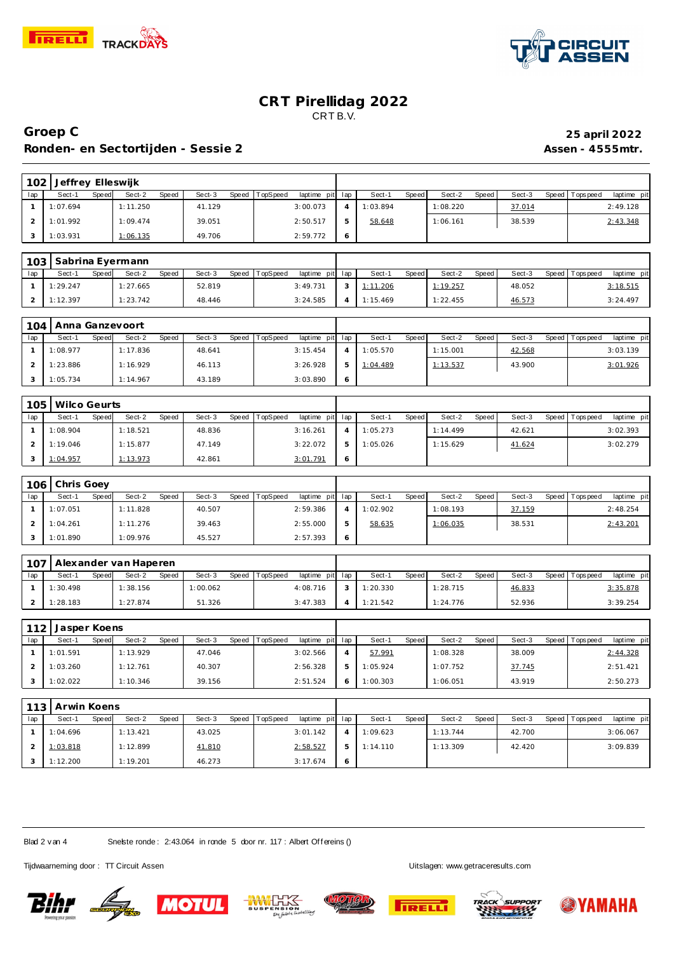



# **Groep C 25 april 2022 Ronden- en Sectortijden - Sessie 2 Assen - 4555mtr.**

| 102            | Jeffrey Elleswijk   |              |                       |              |          |              |          |             |                |          |              |          |       |        |       |            |             |
|----------------|---------------------|--------------|-----------------------|--------------|----------|--------------|----------|-------------|----------------|----------|--------------|----------|-------|--------|-------|------------|-------------|
| lap            | Sect-1              | Speed        | Sect-2                | Speed        | Sect-3   | Speed        | TopSpeed | laptime pit | lap            | Sect-1   | Speed        | Sect-2   | Speed | Sect-3 | Speed | Tops pee d | laptime pit |
| $\mathbf{1}$   | 1:07.694            |              | 1:11.250              |              | 41.129   |              |          | 3:00.073    | $\overline{4}$ | 1:03.894 |              | 1:08.220 |       | 37.014 |       |            | 2:49.128    |
| $\overline{a}$ | 1:01.992            |              | 1:09.474              |              | 39.051   |              |          | 2:50.517    | 5              | 58.648   |              | 1:06.161 |       | 38.539 |       |            | 2:43.348    |
| 3              | 1:03.931            |              | 1:06.135              |              | 49.706   |              |          | 2:59.772    | 6              |          |              |          |       |        |       |            |             |
|                |                     |              |                       |              |          |              |          |             |                |          |              |          |       |        |       |            |             |
| 103            |                     |              | Sabrina Eyermann      |              |          |              |          |             |                |          |              |          |       |        |       |            |             |
| lap            | Sect-1              | Speed        | Sect-2                | Speed        | Sect-3   | Speed        | TopSpeed | laptime pit | lap            | Sect-1   | Speed        | Sect-2   | Speed | Sect-3 | Speed | Tops peed  | laptime pit |
| $\mathbf{1}$   | 1:29.247            |              | 1:27.665              |              | 52.819   |              |          | 3:49.731    | 3              | 1:11.206 |              | 1:19.257 |       | 48.052 |       |            | 3:18.515    |
| $\overline{2}$ | 1:12.397            |              | 1:23.742              |              | 48.446   |              |          | 3:24.585    | $\overline{4}$ | 1:15.469 |              | 1:22.455 |       | 46.573 |       |            | 3:24.497    |
|                |                     |              |                       |              |          |              |          |             |                |          |              |          |       |        |       |            |             |
| 104            | Anna Ganzevoort     |              |                       |              |          |              |          |             |                |          |              |          |       |        |       |            |             |
| lap            | Sect-1              | Speed        | Sect-2                | <b>Speed</b> | Sect-3   | Speed        | TopSpeed | laptime pit | lap            | Sect-1   | <b>Speed</b> | Sect-2   | Speed | Sect-3 | Speed | Tops peed  | laptime pit |
| 1              | 1:08.977            |              | 1:17.836              |              | 48.641   |              |          | 3:15.454    | $\overline{4}$ | 1:05.570 |              | 1:15.001 |       | 42.568 |       |            | 3:03.139    |
| 2              | 1:23.886            |              | 1:16.929              |              | 46.113   |              |          | 3:26.928    | 5              | 1:04.489 |              | 1:13.537 |       | 43.900 |       |            | 3:01.926    |
| 3              | 1:05.734            |              | 1:14.967              |              | 43.189   |              |          | 3:03.890    | 6              |          |              |          |       |        |       |            |             |
|                |                     |              |                       |              |          |              |          |             |                |          |              |          |       |        |       |            |             |
| 105            | <b>Wilco Geurts</b> |              |                       |              |          |              |          |             |                |          |              |          |       |        |       |            |             |
| lap            | Sect-1              | Speed        | Sect-2                | Speed        | Sect-3   | Speed        | TopSpeed | laptime pit | lap            | Sect-1   | Speed        | Sect-2   | Speed | Sect-3 | Speed | Tops peed  | laptime pit |
| $\mathbf{1}$   | 1:08.904            |              | 1:18.521              |              | 48.836   |              |          | 3:16.261    | $\overline{4}$ | 1:05.273 |              | 1:14.499 |       | 42.621 |       |            | 3:02.393    |
| $\overline{a}$ | 1:19.046            |              | 1:15.877              |              | 47.149   |              |          | 3:22.072    | 5              | 1:05.026 |              | 1:15.629 |       | 41.624 |       |            | 3:02.279    |
| 3              | 1:04.957            |              | 1:13.973              |              | 42.861   |              |          | 3:01.791    | 6              |          |              |          |       |        |       |            |             |
|                |                     |              |                       |              |          |              |          |             |                |          |              |          |       |        |       |            |             |
| 106            | Chris Goey          |              |                       |              |          |              |          |             |                |          |              |          |       |        |       |            |             |
| lap            | Sect-1              | Speed        | Sect-2                | Speed        | Sect-3   | Speed        | TopSpeed | laptime pit | lap            | Sect-1   | <b>Speed</b> | Sect-2   | Speed | Sect-3 | Speed | Tops peed  | laptime pit |
| $\mathbf{1}$   | 1:07.051            |              | 1:11.828              |              | 40.507   |              |          | 2:59.386    | $\overline{4}$ | 1:02.902 |              | 1:08.193 |       | 37.159 |       |            | 2:48.254    |
| $\overline{2}$ | 1:04.261            |              | 1:11.276              |              | 39.463   |              |          | 2:55.000    | 5              | 58.635   |              | 1:06.035 |       | 38.531 |       |            | 2:43.201    |
| 3              | 1:01.890            |              | 1:09.976              |              | 45.527   |              |          | 2:57.393    | 6              |          |              |          |       |        |       |            |             |
|                |                     |              |                       |              |          |              |          |             |                |          |              |          |       |        |       |            |             |
| 107            |                     |              | Alexander van Haperen |              |          |              |          |             |                |          |              |          |       |        |       |            |             |
| lap            | Sect-1              | <b>Speed</b> | Sect-2                | <b>Speed</b> | Sect-3   | <b>Speed</b> | TopSpeed | laptime pit | lap            | Sect-1   | Speed        | Sect-2   | Speed | Sect-3 | Speed | Tops peed  | laptime pit |
| $\mathbf{1}$   | 1:30.498            |              | 1:38.156              |              | 1:00.062 |              |          | 4:08.716    | 3              | 1:20.330 |              | 1:28.715 |       | 46.833 |       |            | 3:35.878    |
| 2              | 1:28.183            |              | 1:27.874              |              | 51.326   |              |          | 3:47.383    | $\overline{4}$ | 1:21.542 |              | 1:24.776 |       | 52.936 |       |            | 3:39.254    |
|                |                     |              |                       |              |          |              |          |             |                |          |              |          |       |        |       |            |             |
| 112            | Jasper Koens        |              |                       |              |          |              |          |             |                |          |              |          |       |        |       |            |             |
| lap            | Sect-1              | Speed        | Sect-2                | Speed        | Sect-3   | Speed        | TopSpeed | laptime pit | lap            | Sect-1   | Speed        | Sect-2   | Speed | Sect-3 | Speed | Tops peed  | laptime pit |
| $\mathbf{1}$   | 1:01.591            |              | 1:13.929              |              | 47.046   |              |          | 3:02.566    | $\overline{4}$ | 57.991   |              | 1:08.328 |       | 38.009 |       |            | 2:44.328    |
| $\overline{a}$ | 1:03.260            |              | 1:12.761              |              | 40.307   |              |          | 2:56.328    | 5              | 1:05.924 |              | 1:07.752 |       | 37.745 |       |            | 2:51.421    |

| 113 | Arwin Koens |       |          |       |        |       |          |                 |   |          |       |          |       |        |                 |             |
|-----|-------------|-------|----------|-------|--------|-------|----------|-----------------|---|----------|-------|----------|-------|--------|-----------------|-------------|
| lap | Sect-1      | Speed | Sect-2   | Speed | Sect-3 | Speed | TopSpeed | laptime pit lap |   | Sect-1   | Speed | Sect-2   | Speed | Sect-3 | Speed Tops peed | laptime pit |
|     | 1:04.696    |       | 1:13.421 |       | 43.025 |       |          | 3:01.142        |   | 1:09.623 |       | 1:13.744 |       | 42.700 |                 | 3:06.067    |
|     | 1:03.818    |       | 1:12.899 |       | 41.810 |       |          | 2:58.527        | 5 | 1:14.110 |       | 1:13.309 |       | 42.420 |                 | 3:09.839    |
|     | 1:12.200    |       | 1:19.201 |       | 46.273 |       |          | 3:17.674        | Ô |          |       |          |       |        |                 |             |

Blad 2 v an 4 Snelste ronde: 2:43.064 in ronde 5 door nr. 117 : Albert Offereins ()

Tijdwaarneming door : TT Circuit Assen and the state of the state of the Uitslagen:<www.getraceresults.com>

1:02.022 1:10.346 39.156













2:51.524 6 1:00.303 1:06.051 43.919 2:50.273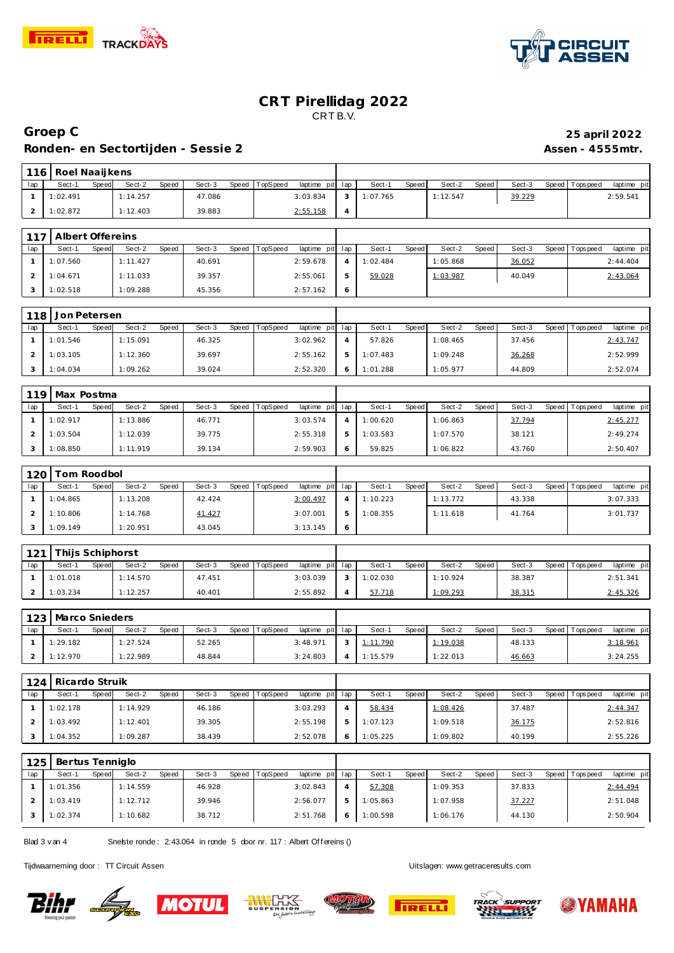



### **Groep C 25 april 2022 Ronden- en Sectortijden - Sessie 2 Assen - 4555mtr.**

| 116 | Roel Naaijkens |       |          |       |        |       |          |                 |  |          |       |        |       |        |       |           |             |  |
|-----|----------------|-------|----------|-------|--------|-------|----------|-----------------|--|----------|-------|--------|-------|--------|-------|-----------|-------------|--|
| lap | Sect-1         | Speed | Sect-2   | Speed | Sect-3 | Speed | TopSpeed | laptime pit lap |  | Sect-1   | Speed | Sect-2 | Speed | Sect-3 | Speed | Tops peed | laptime pit |  |
|     | 1:02.491       |       | 1:14.257 |       | 47.086 |       |          | 3:03.834        |  | 1:07.765 |       | 12.547 |       | 39.229 |       |           | 2:59.541    |  |
|     | 1:02.872       |       | 1:12.403 |       | 39.883 |       |          | 2:55.158        |  |          |       |        |       |        |       |           |             |  |

| 117 | Albert Offereins |       |          |              |        |       |          |                 |          |       |          |         |        |         |            |             |
|-----|------------------|-------|----------|--------------|--------|-------|----------|-----------------|----------|-------|----------|---------|--------|---------|------------|-------------|
| lap | Sect-1           | Speed | Sect-2   | <b>Speed</b> | Sect-3 | Speed | TopSpeed | laptime pit lap | Sect-1   | Speed | Sect-2   | Speed I | Sect-3 | Speed I | T ops peed | laptime pit |
|     | 1:07.560         |       | 1:11.427 |              | 40.691 |       |          | 2:59.678        | 1:02.484 |       | 1:05.868 |         | 36.052 |         |            | 2: 44.404   |
|     | 1:04.671         |       | 1:11.033 |              | 39.357 |       |          | 2:55.061        | 59.028   |       | 1:03.987 |         | 40.049 |         |            | 2:43.064    |
|     | 1:02.518         |       | 1:09.288 |              | 45.356 |       |          | 2:57.162        |          |       |          |         |        |         |            |             |

| 118 | Jon Petersen |       |          |       |        |       |                 |                 |          |       |          |       |        |                 |             |
|-----|--------------|-------|----------|-------|--------|-------|-----------------|-----------------|----------|-------|----------|-------|--------|-----------------|-------------|
| lap | Sect-1       | Speed | Sect-2   | Speed | Sect-3 | Speed | <b>TopSpeed</b> | laptime pit lap | Sect-1   | Speed | Sect-2   | Speed | Sect-3 | Speed Tops peed | laptime pit |
|     | 1:01.546     |       | 1:15.091 |       | 46.325 |       |                 | 3:02.962        | 57.826   |       | 1:08.465 |       | 37.456 |                 | 2:43.747    |
|     | 1:03.105     |       | 1:12.360 |       | 39.697 |       |                 | 2:55.162        | 1:07.483 |       | 1:09.248 |       | 36.268 |                 | 2:52.999    |
|     | 1:04.034     |       | 1:09.262 |       | 39.024 |       |                 | 2:52.320        | 1:01.288 |       | 1:05.977 |       | 44.809 |                 | 2:52.074    |

|     | 119   Max Postma |       |          |       |        |       |                 |                 |          |       |          |       |        |                   |             |
|-----|------------------|-------|----------|-------|--------|-------|-----------------|-----------------|----------|-------|----------|-------|--------|-------------------|-------------|
| lap | Sect-1           | Speed | Sect-2   | Speed | Sect-3 | Speed | <b>TopSpeed</b> | laptime pit lap | Sect-1   | Speed | Sect-2   | Speed | Sect-3 | Speed   Tops peed | laptime pit |
|     | 1:02.917         |       | 1:13.886 |       | 46.771 |       |                 | 3:03.574        | 1:00.620 |       | 1:06.863 |       | 37.794 |                   | 2:45.277    |
|     | 1:03.504         |       | 1:12.039 |       | 39.775 |       |                 | 2:55.318        | 1:03.583 |       | 1:07.570 |       | 38.121 |                   | 2:49.274    |
|     | 1:08.850         |       | 1:11.919 |       | 39.134 |       |                 | 2:59.903        | 59.825   |       | 1:06.822 |       | 43.760 |                   | 2:50.407    |

| 120 | Tom Roodbol |       |          |       |        |       |          |                 |          |       |          |       |        |                 |             |
|-----|-------------|-------|----------|-------|--------|-------|----------|-----------------|----------|-------|----------|-------|--------|-----------------|-------------|
| lap | Sect-1      | Speed | Sect-2   | Speed | Sect-3 | Speed | TopSpeed | laptime pit lap | Sect-1   | Speed | Sect-2   | Speed | Sect-3 | Speed Tops peed | laptime pit |
|     | 1:04.865    |       | 1:13.208 |       | 42.424 |       |          | 3:00.497        | 1:10.223 |       | 1:13.772 |       | 43.338 |                 | 3:07.333    |
|     | 1:10.806    |       | 1:14.768 |       | 41.427 |       |          | 3:07.001        | 1:08.355 |       | 1:11.618 |       | 41.764 |                 | 3:01.737    |
|     | 1:09.149    |       | 1:20.951 |       | 43.045 |       |          | 3:13.145        |          |       |          |       |        |                 |             |

| 121 | Thijs Schiphorst |       |          |              |        |       |          |                 |          |       |          |        |        |       |                  |             |  |
|-----|------------------|-------|----------|--------------|--------|-------|----------|-----------------|----------|-------|----------|--------|--------|-------|------------------|-------------|--|
| lap | Sect-1           | Speed | Sect-2   | <b>Speed</b> | Sect-3 | Speed | TopSpeed | laptime pit lap | Sect-1   | Speed | Sect-2   | Speed, | Sect-3 | Speed | <b>Tops peed</b> | laptime pit |  |
|     | 1:01.018         |       | 1:14.570 |              | 47.451 |       |          | 3:03.039        | 1:02.030 |       | 1:10.924 |        | 38.387 |       |                  | 2:51.341    |  |
|     | 1:03.234         |       | 1:12.257 |              | 40.401 |       |          | 2:55.892        | 57.718   |       | 1:09.293 |        | 38.315 |       |                  | 2:45.326    |  |

|     | 123   Marco Snieders |       |          |       |        |       |          |                 |          |       |          |       |        |                 |             |
|-----|----------------------|-------|----------|-------|--------|-------|----------|-----------------|----------|-------|----------|-------|--------|-----------------|-------------|
| lap | Sect-1               | Speed | Sect-2   | Speed | Sect-3 | Speed | TopSpeed | laptime pit lap | Sect-1   | Speed | Sect-2   | Speed | Sect-3 | Speed Tops peed | laptime pit |
|     | 1:29.182             |       | 1:27.524 |       | 52.265 |       |          | 3:48.971        | 1:11.790 |       | 1:19.038 |       | 48.133 |                 | 3:18.961    |
|     | 1:12.970             |       | 1:22.989 |       | 48.844 |       |          | 3:24.803        | 1:15.579 |       | 1:22.013 |       | 46.663 |                 | 3:24.255    |

| 124 | Ricardo Struik |       |          |       |        |       |          |                 |                    |       |          |       |        |                 |             |
|-----|----------------|-------|----------|-------|--------|-------|----------|-----------------|--------------------|-------|----------|-------|--------|-----------------|-------------|
| lap | Sect-1         | Speed | Sect-2   | Speed | Sect-3 | Speed | TopSpeed | laptime pit lap | Sect-1             | Speed | Sect-2   | Speed | Sect-3 | Speed Tops peed | laptime pit |
|     | 1:02.178       |       | 1:14.929 |       | 46.186 |       |          | 3:03.293        | 58.434             |       | 1:08.426 |       | 37.487 |                 | 2:44.347    |
|     | 1:03.492       |       | 1:12.401 |       | 39.305 |       |          | 2:55.198        | $5 \quad 1:07.123$ |       | 1:09.518 |       | 36.175 |                 | 2:52.816    |
|     | 1:04.352       |       | 1:09.287 |       | 38.439 |       |          | 2:52.078        | 1:05.225           |       | 1:09.802 |       | 40.199 |                 | 2:55.226    |

| 125 | Bertus Tenniglo |       |          |       |        |       |          |                 |          |              |          |       |        |       |             |             |
|-----|-----------------|-------|----------|-------|--------|-------|----------|-----------------|----------|--------------|----------|-------|--------|-------|-------------|-------------|
| lap | Sect-1          | Speed | Sect-2   | Speed | Sect-3 | Speed | TopSpeed | laptime pit lap | Sect-1   | <b>Speed</b> | Sect-2   | Speed | Sect-3 | Speed | T ops pee d | laptime pit |
|     | 1:01.356        |       | 1:14.559 |       | 46.928 |       |          | 3:02.843        | 57.308   |              | 1:09.353 |       | 37.833 |       |             | 2:44.494    |
|     | 1:03.419        |       | 1:12.712 |       | 39.946 |       |          | 2:56.077        | 1:05.863 |              | 1:07.958 |       | 37.227 |       |             | 2:51.048    |
|     | 1:02.374        |       | 1:10.682 |       | 38.712 |       |          | 2:51.768        | 1:00.598 |              | 1:06.176 |       | 44.130 |       |             | 2:50.904    |

Blad 3 v an 4 Snelste ronde: 2:43.064 in ronde 5 door nr. 117 : Albert Offereins ()

Tijdwaarneming door : TT Circuit Assen Uitslagen:<www.getraceresults.com>